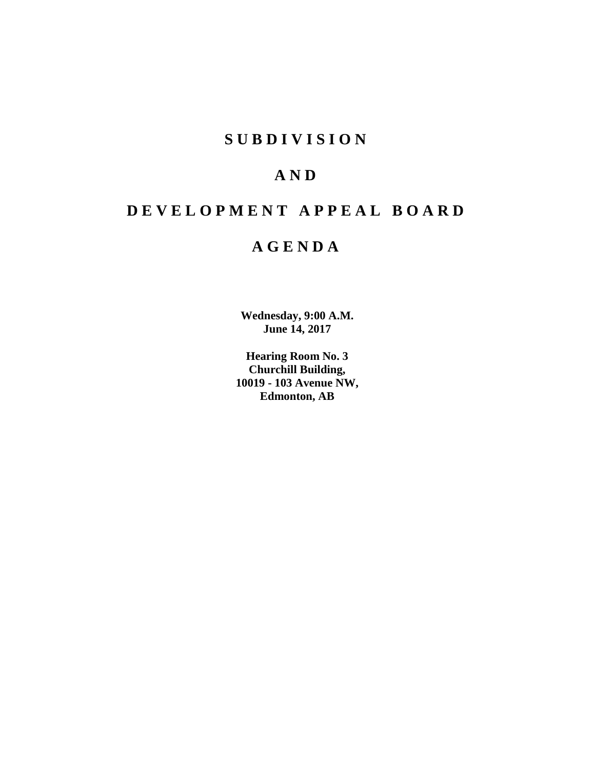# **SUBDIVISION**

# **AND**

# **DEVELOPMENT APPEAL BOARD**

# **AGENDA**

**Wednesday, 9:00 A.M. June 14, 2017**

**Hearing Room No. 3 Churchill Building, 10019 - 103 Avenue NW, Edmonton, AB**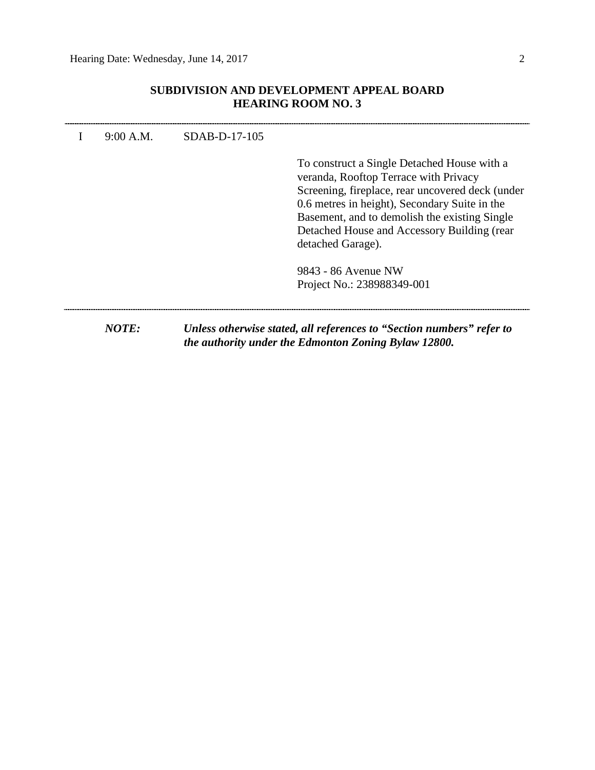# **SUBDIVISION AND DEVELOPMENT APPEAL BOARD HEARING ROOM NO. 3**

| 9:00 A.M. | $SDAB-D-17-105$ |                                                                                                                                                                                                                                                                                                                |
|-----------|-----------------|----------------------------------------------------------------------------------------------------------------------------------------------------------------------------------------------------------------------------------------------------------------------------------------------------------------|
|           |                 | To construct a Single Detached House with a<br>veranda, Rooftop Terrace with Privacy<br>Screening, fireplace, rear uncovered deck (under<br>0.6 metres in height), Secondary Suite in the<br>Basement, and to demolish the existing Single<br>Detached House and Accessory Building (rear<br>detached Garage). |
|           |                 | 9843 - 86 Avenue NW<br>Project No.: 238988349-001                                                                                                                                                                                                                                                              |
| NOTE:     |                 | Unless otherwise stated, all references to "Section numbers" refer to<br>the authority under the Edmonton Zoning Bylaw 12800.                                                                                                                                                                                  |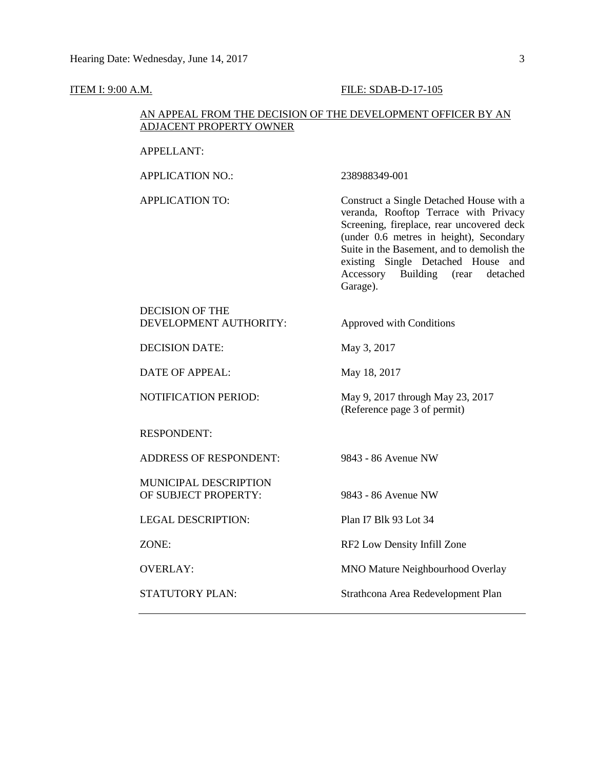#### **ITEM I: 9:00 A.M. FILE: SDAB-D-17-105**

# AN APPEAL FROM THE DECISION OF THE DEVELOPMENT OFFICER BY AN ADJACENT PROPERTY OWNER

APPELLANT:

APPLICATION NO.: 238988349-001

APPLICATION TO: Construct a Single Detached House with a veranda, Rooftop Terrace with Privacy Screening, fireplace, rear uncovered deck (under 0.6 metres in height), Secondary Suite in the Basement, and to demolish the existing Single Detached House and Accessory Building (rear detached Garage).

DECISION OF THE DEVELOPMENT AUTHORITY: Approved with Conditions

DECISION DATE: May 3, 2017

DATE OF APPEAL: May 18, 2017

NOTIFICATION PERIOD: May 9, 2017 through May 23, 2017

RESPONDENT:

ADDRESS OF RESPONDENT: 9843 - 86 Avenue NW

MUNICIPAL DESCRIPTION OF SUBJECT PROPERTY: 9843 - 86 Avenue NW

LEGAL DESCRIPTION: Plan I7 Blk 93 Lot 34

(Reference page 3 of permit)

ZONE: RF2 Low Density Infill Zone

OVERLAY: MNO Mature Neighbourhood Overlay

STATUTORY PLAN: Strathcona Area Redevelopment Plan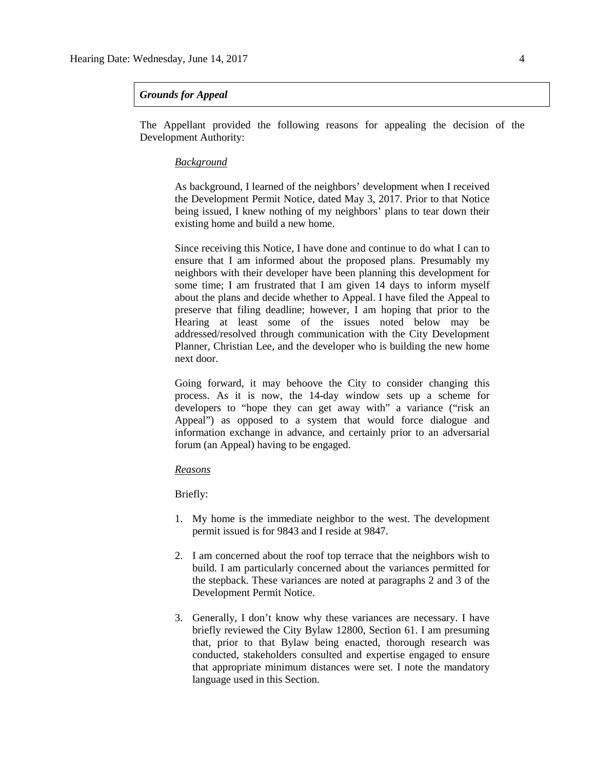### *Grounds for Appeal*

The Appellant provided the following reasons for appealing the decision of the Development Authority:

### *Background*

As background, I learned of the neighbors' development when I received the Development Permit Notice, dated May 3, 2017. Prior to that Notice being issued, I knew nothing of my neighbors' plans to tear down their existing home and build a new home.

Since receiving this Notice, I have done and continue to do what I can to ensure that I am informed about the proposed plans. Presumably my neighbors with their developer have been planning this development for some time; I am frustrated that I am given 14 days to inform myself about the plans and decide whether to Appeal. I have filed the Appeal to preserve that filing deadline; however, I am hoping that prior to the Hearing at least some of the issues noted below may be addressed/resolved through communication with the City Development Planner, Christian Lee, and the developer who is building the new home next door.

Going forward, it may behoove the City to consider changing this process. As it is now, the 14-day window sets up a scheme for developers to "hope they can get away with" a variance ("risk an Appeal") as opposed to a system that would force dialogue and information exchange in advance, and certainly prior to an adversarial forum (an Appeal) having to be engaged.

### *Reasons*

Briefly:

- 1. My home is the immediate neighbor to the west. The development permit issued is for 9843 and I reside at 9847.
- 2. I am concerned about the roof top terrace that the neighbors wish to build. I am particularly concerned about the variances permitted for the stepback. These variances are noted at paragraphs 2 and 3 of the Development Permit Notice.
- 3. Generally, I don't know why these variances are necessary. I have briefly reviewed the City Bylaw 12800, Section 61. I am presuming that, prior to that Bylaw being enacted, thorough research was conducted, stakeholders consulted and expertise engaged to ensure that appropriate minimum distances were set. I note the mandatory language used in this Section.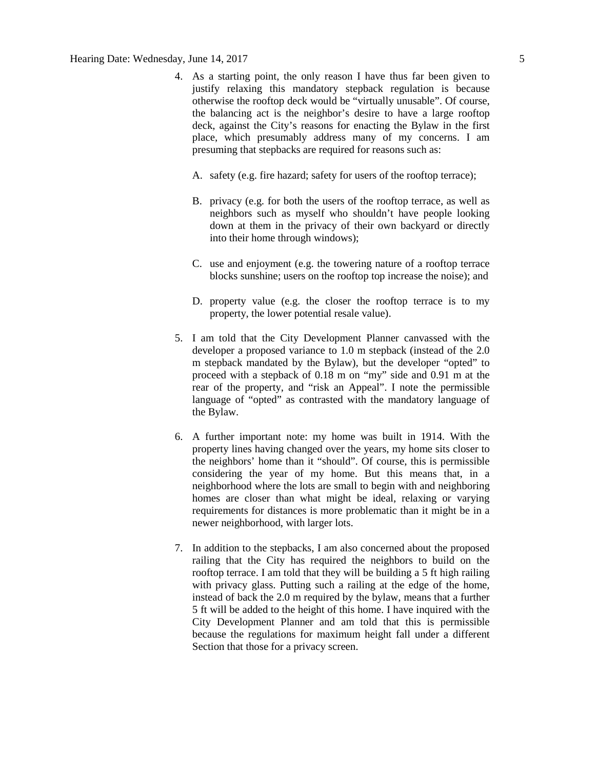- 4. As a starting point, the only reason I have thus far been given to justify relaxing this mandatory stepback regulation is because otherwise the rooftop deck would be "virtually unusable". Of course, the balancing act is the neighbor's desire to have a large rooftop deck, against the City's reasons for enacting the Bylaw in the first place, which presumably address many of my concerns. I am presuming that stepbacks are required for reasons such as:
	- A. safety (e.g. fire hazard; safety for users of the rooftop terrace);
	- B. privacy (e.g. for both the users of the rooftop terrace, as well as neighbors such as myself who shouldn't have people looking down at them in the privacy of their own backyard or directly into their home through windows);
	- C. use and enjoyment (e.g. the towering nature of a rooftop terrace blocks sunshine; users on the rooftop top increase the noise); and
	- D. property value (e.g. the closer the rooftop terrace is to my property, the lower potential resale value).
- 5. I am told that the City Development Planner canvassed with the developer a proposed variance to 1.0 m stepback (instead of the 2.0 m stepback mandated by the Bylaw), but the developer "opted" to proceed with a stepback of 0.18 m on "my" side and 0.91 m at the rear of the property, and "risk an Appeal". I note the permissible language of "opted" as contrasted with the mandatory language of the Bylaw.
- 6. A further important note: my home was built in 1914. With the property lines having changed over the years, my home sits closer to the neighbors' home than it "should". Of course, this is permissible considering the year of my home. But this means that, in a neighborhood where the lots are small to begin with and neighboring homes are closer than what might be ideal, relaxing or varying requirements for distances is more problematic than it might be in a newer neighborhood, with larger lots.
- 7. In addition to the stepbacks, I am also concerned about the proposed railing that the City has required the neighbors to build on the rooftop terrace. I am told that they will be building a 5 ft high railing with privacy glass. Putting such a railing at the edge of the home, instead of back the 2.0 m required by the bylaw, means that a further 5 ft will be added to the height of this home. I have inquired with the City Development Planner and am told that this is permissible because the regulations for maximum height fall under a different Section that those for a privacy screen.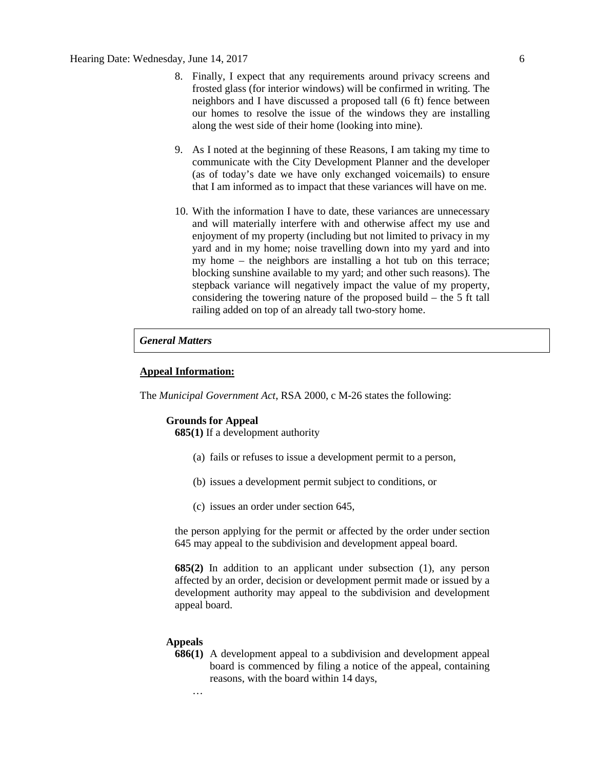- 8. Finally, I expect that any requirements around privacy screens and frosted glass (for interior windows) will be confirmed in writing. The neighbors and I have discussed a proposed tall (6 ft) fence between our homes to resolve the issue of the windows they are installing along the west side of their home (looking into mine).
- 9. As I noted at the beginning of these Reasons, I am taking my time to communicate with the City Development Planner and the developer (as of today's date we have only exchanged voicemails) to ensure that I am informed as to impact that these variances will have on me.
- 10. With the information I have to date, these variances are unnecessary and will materially interfere with and otherwise affect my use and enjoyment of my property (including but not limited to privacy in my yard and in my home; noise travelling down into my yard and into my home – the neighbors are installing a hot tub on this terrace; blocking sunshine available to my yard; and other such reasons). The stepback variance will negatively impact the value of my property, considering the towering nature of the proposed build – the 5 ft tall railing added on top of an already tall two-story home.

#### *General Matters*

#### **Appeal Information:**

The *Municipal Government Act*, RSA 2000, c M-26 states the following:

#### **Grounds for Appeal**

**685(1)** If a development authority

- (a) fails or refuses to issue a development permit to a person,
- (b) issues a development permit subject to conditions, or
- (c) issues an order under section 645,

the person applying for the permit or affected by the order under section 645 may appeal to the subdivision and development appeal board.

**685(2)** In addition to an applicant under subsection (1), any person affected by an order, decision or development permit made or issued by a development authority may appeal to the subdivision and development appeal board.

#### **Appeals**

**686(1)** A development appeal to a subdivision and development appeal board is commenced by filing a notice of the appeal, containing reasons, with the board within 14 days,

…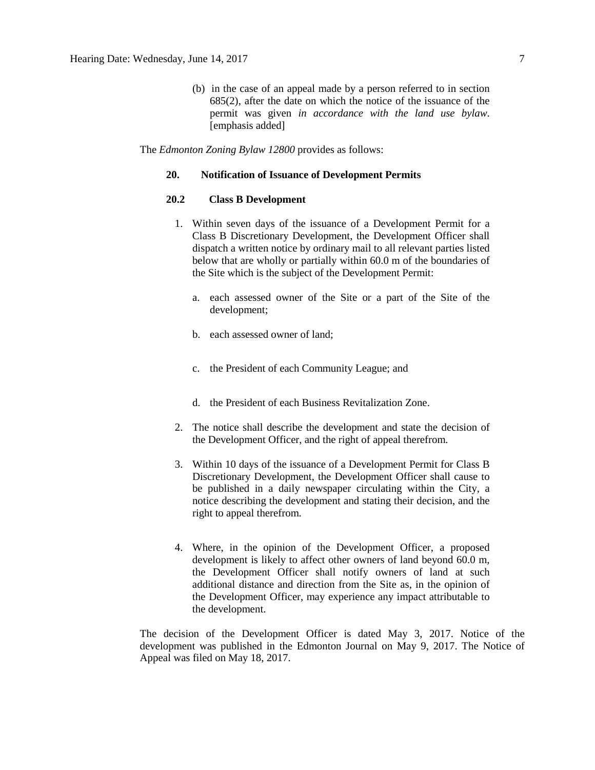(b) in the case of an appeal made by a person referred to in section 685(2), after the date on which the notice of the issuance of the permit was given *in accordance with the land use bylaw*. [emphasis added]

The *Edmonton Zoning Bylaw 12800* provides as follows:

#### **20. Notification of Issuance of Development Permits**

# **20.2 Class B Development**

- 1. Within seven days of the issuance of a Development Permit for a Class B Discretionary Development, the Development Officer shall dispatch a written notice by ordinary mail to all relevant parties listed below that are wholly or partially within 60.0 m of the boundaries of the Site which is the subject of the Development Permit:
	- a. each assessed owner of the Site or a part of the Site of the development;
	- b. each assessed owner of land;
	- c. the President of each Community League; and
	- d. the President of each Business Revitalization Zone.
- 2. The notice shall describe the development and state the decision of the Development Officer, and the right of appeal therefrom.
- 3. Within 10 days of the issuance of a Development Permit for Class B Discretionary Development, the Development Officer shall cause to be published in a daily newspaper circulating within the City, a notice describing the development and stating their decision, and the right to appeal therefrom.
- 4. Where, in the opinion of the Development Officer, a proposed development is likely to affect other owners of land beyond 60.0 m, the Development Officer shall notify owners of land at such additional distance and direction from the Site as, in the opinion of the Development Officer, may experience any impact attributable to the development.

The decision of the Development Officer is dated May 3, 2017. Notice of the development was published in the Edmonton Journal on May 9, 2017. The Notice of Appeal was filed on May 18, 2017.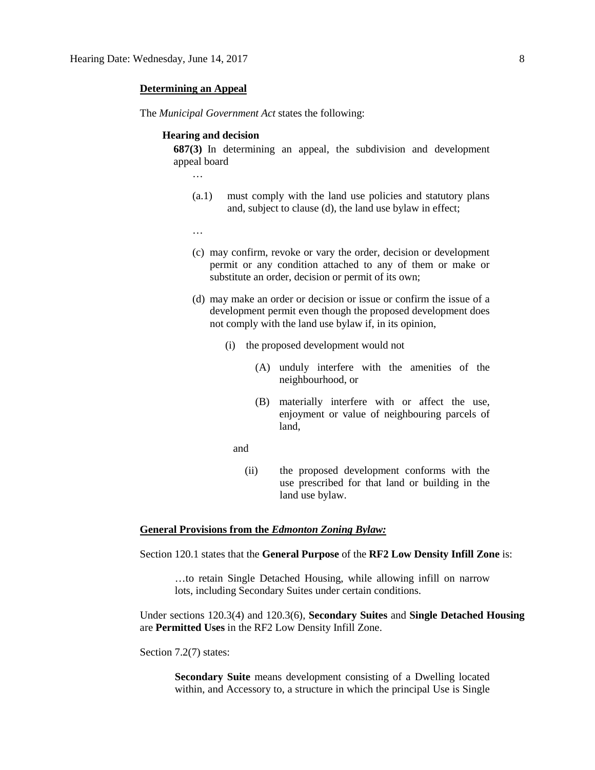#### **Determining an Appeal**

The *Municipal Government Act* states the following:

#### **Hearing and decision**

**687(3)** In determining an appeal, the subdivision and development appeal board

…

- (a.1) must comply with the land use policies and statutory plans and, subject to clause (d), the land use bylaw in effect;
- …
- (c) may confirm, revoke or vary the order, decision or development permit or any condition attached to any of them or make or substitute an order, decision or permit of its own;
- (d) may make an order or decision or issue or confirm the issue of a development permit even though the proposed development does not comply with the land use bylaw if, in its opinion,
	- (i) the proposed development would not
		- (A) unduly interfere with the amenities of the neighbourhood, or
		- (B) materially interfere with or affect the use, enjoyment or value of neighbouring parcels of land,
- and
	- (ii) the proposed development conforms with the use prescribed for that land or building in the land use bylaw.

# **General Provisions from the** *Edmonton Zoning Bylaw:*

Section 120.1 states that the **General Purpose** of the **RF2 Low Density Infill Zone** is:

…to retain Single Detached Housing, while allowing infill on narrow lots, including Secondary Suites under certain conditions.

Under sections 120.3(4) and 120.3(6), **Secondary Suites** and **Single Detached Housing** are **Permitted Uses** in the RF2 Low Density Infill Zone.

Section 7.2(7) states:

**Secondary Suite** means development consisting of a Dwelling located within, and Accessory to, a structure in which the principal Use is Single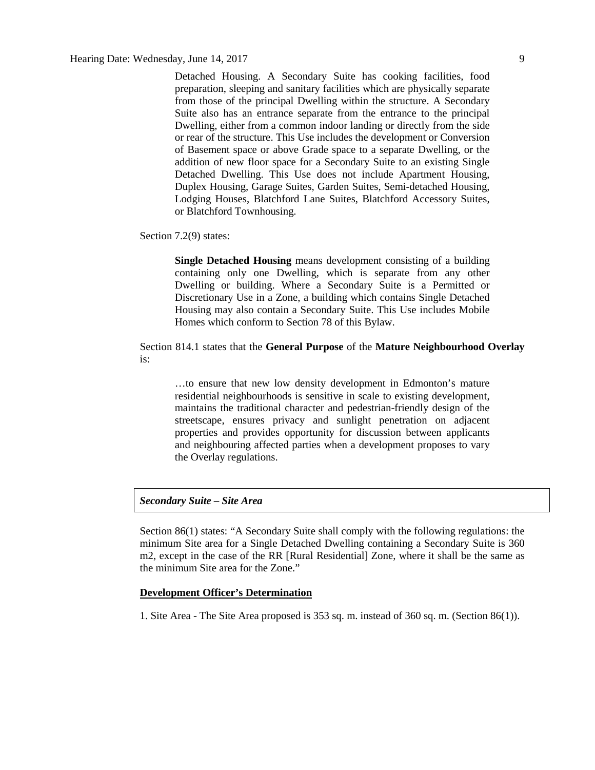Detached Housing. A Secondary Suite has cooking facilities, food preparation, sleeping and sanitary facilities which are physically separate from those of the principal Dwelling within the structure. A Secondary Suite also has an entrance separate from the entrance to the principal Dwelling, either from a common indoor landing or directly from the side or rear of the structure. This Use includes the development or Conversion of Basement space or above Grade space to a separate Dwelling, or the addition of new floor space for a Secondary Suite to an existing Single Detached Dwelling. This Use does not include Apartment Housing, Duplex Housing, Garage Suites, Garden Suites, Semi-detached Housing, Lodging Houses, Blatchford Lane Suites, Blatchford Accessory Suites, or Blatchford Townhousing.

Section 7.2(9) states:

**Single Detached Housing** means development consisting of a building containing only one Dwelling, which is separate from any other Dwelling or building. Where a Secondary Suite is a Permitted or Discretionary Use in a Zone, a building which contains Single Detached Housing may also contain a Secondary Suite. This Use includes Mobile Homes which conform to Section 78 of this Bylaw.

# Section 814.1 states that the **General Purpose** of the **Mature Neighbourhood Overlay** is:

…to ensure that new low density development in Edmonton's mature residential neighbourhoods is sensitive in scale to existing development, maintains the traditional character and pedestrian-friendly design of the streetscape, ensures privacy and sunlight penetration on adjacent properties and provides opportunity for discussion between applicants and neighbouring affected parties when a development proposes to vary the Overlay regulations.

# *Secondary Suite – Site Area*

Section 86(1) states: "A Secondary Suite shall comply with the following regulations: the minimum Site area for a Single Detached Dwelling containing a Secondary Suite is 360 m2, except in the case of the RR [Rural Residential] Zone, where it shall be the same as the minimum Site area for the Zone."

# **Development Officer's Determination**

1. Site Area - The Site Area proposed is 353 sq. m. instead of 360 sq. m. (Section 86(1)).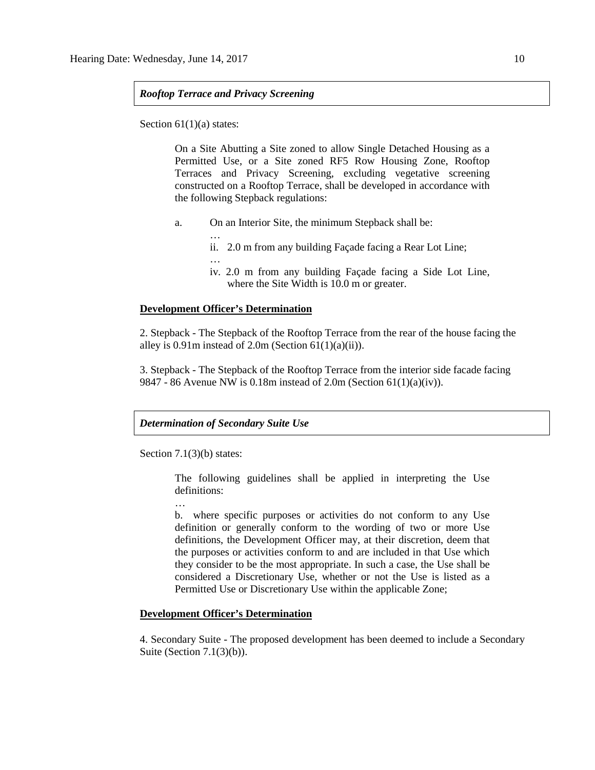# *Rooftop Terrace and Privacy Screening*

Section 61(1)(a) states:

On a Site Abutting a Site zoned to allow Single Detached Housing as a Permitted Use, or a Site zoned RF5 Row Housing Zone, Rooftop Terraces and Privacy Screening, excluding vegetative screening constructed on a Rooftop Terrace, shall be developed in accordance with the following Stepback regulations:

- a. On an Interior Site, the minimum Stepback shall be:
	- …
		- ii. 2.0 m from any building Façade facing a Rear Lot Line;
	- …
	- iv. 2.0 m from any building Façade facing a Side Lot Line, where the Site Width is 10.0 m or greater.

### **Development Officer's Determination**

2. Stepback - The Stepback of the Rooftop Terrace from the rear of the house facing the alley is  $0.91$ m instead of  $2.0$ m (Section  $61(1)(a)(ii)$ ).

3. Stepback - The Stepback of the Rooftop Terrace from the interior side facade facing 9847 - 86 Avenue NW is 0.18m instead of 2.0m (Section 61(1)(a)(iv)).

#### *Determination of Secondary Suite Use*

Section 7.1(3)(b) states:

…

The following guidelines shall be applied in interpreting the Use definitions:

b. where specific purposes or activities do not conform to any Use definition or generally conform to the wording of two or more Use definitions, the Development Officer may, at their discretion, deem that the purposes or activities conform to and are included in that Use which they consider to be the most appropriate. In such a case, the Use shall be considered a Discretionary Use, whether or not the Use is listed as a Permitted Use or Discretionary Use within the applicable Zone;

#### **Development Officer's Determination**

4. Secondary Suite - The proposed development has been deemed to include a Secondary Suite (Section  $7.1(3)(b)$ ).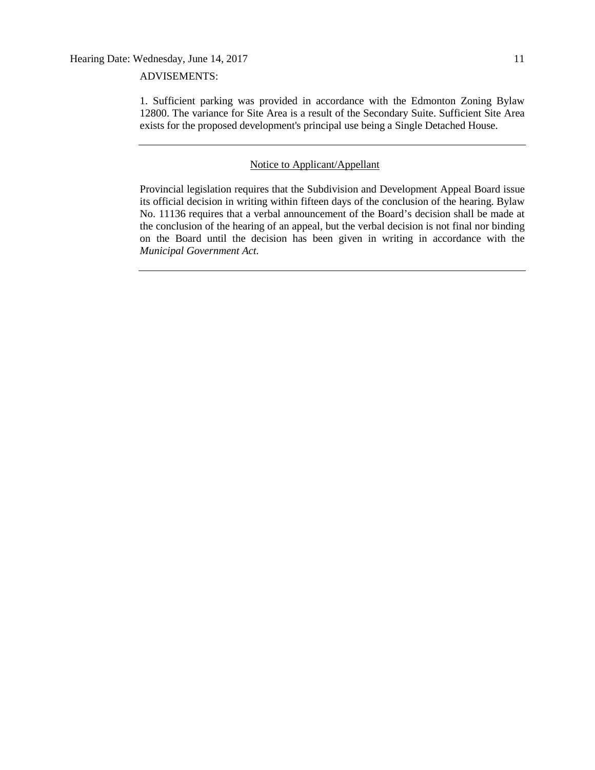# ADVISEMENTS:

1. Sufficient parking was provided in accordance with the Edmonton Zoning Bylaw 12800. The variance for Site Area is a result of the Secondary Suite. Sufficient Site Area exists for the proposed development's principal use being a Single Detached House.

### Notice to Applicant/Appellant

Provincial legislation requires that the Subdivision and Development Appeal Board issue its official decision in writing within fifteen days of the conclusion of the hearing. Bylaw No. 11136 requires that a verbal announcement of the Board's decision shall be made at the conclusion of the hearing of an appeal, but the verbal decision is not final nor binding on the Board until the decision has been given in writing in accordance with the *Municipal Government Act.*